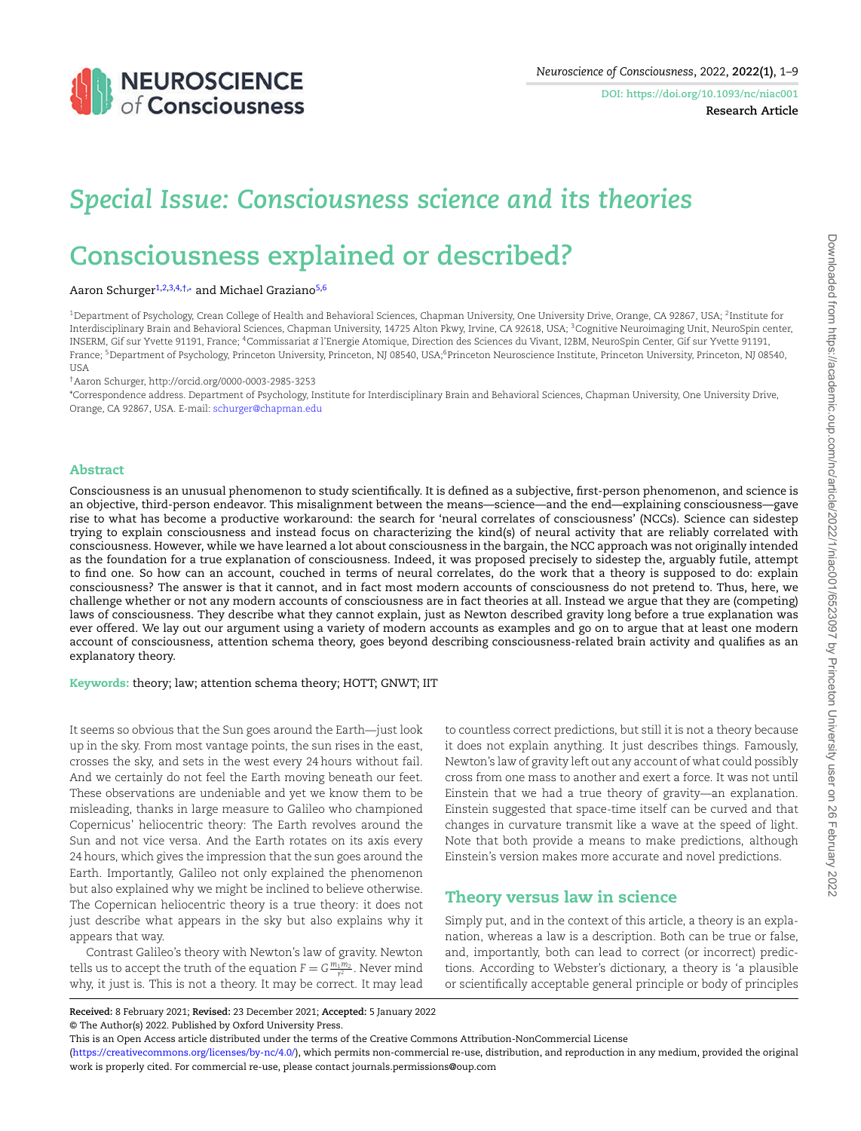<span id="page-0-6"></span><span id="page-0-2"></span><span id="page-0-1"></span>**DOI: https://doi.org/10.1093/nc/niac001 Research Article**

# *Special Issue: Consciousness science and its theories*

# **Consciousness explained or described?**

#### Aaron Schurger<sup>[1](#page-0-0)[,2](#page-0-1),[3](#page-0-2)[,4,](#page-0-3)[†](#page-0-4),</sup>\* and Michael Graziano<sup>[5,](#page-0-5)[6](#page-0-6)</sup>

<span id="page-0-0"></span> $^{\rm 1}$ Department of Psychology, Crean College of Health and Behavioral Sciences, Chapman University, One University Drive, Orange, CA 92867, USA;  $^{\rm 2}$ Institute for Interdisciplinary Brain and Behavioral Sciences, Chapman University, 14725 Alton Pkwy, Irvine, CA 92618, USA; <sup>3</sup>Cognitive Neuroimaging Unit, NeuroSpin center, INSERM, Gif sur Yvette 91191, France; <sup>4</sup>Commissariat a`l'Energie Atomique, Direction des Sciences du Vivant, I2BM, NeuroSpin Center, Gif sur Yvette 91191, France; <sup>5</sup>Department of Psychology, Princeton University, Princeton, NJ 08540, USA;<sup>6</sup>Princeton Neuroscience Institute, Princeton University, Princeton, NJ 08540, **USA** 

<span id="page-0-5"></span><span id="page-0-3"></span>†Aaron Schurger, http://orcid.org/0000-0003-2985-3253

<span id="page-0-4"></span>\*Correspondence address. Department of Psychology, Institute for Interdisciplinary Brain and Behavioral Sciences, Chapman University, One University Drive, Orange, CA 92867, USA. E-mail: [schurger@chapman.edu](mailto:schurger@chapman.edu)

#### **Abstract**

Consciousness is an unusual phenomenon to study scientifically. It is defined as a subjective, first-person phenomenon, and science is an objective, third-person endeavor. This misalignment between the means—science—and the end—explaining consciousness—gave rise to what has become a productive workaround: the search for 'neural correlates of consciousness' (NCCs). Science can sidestep trying to explain consciousness and instead focus on characterizing the kind(s) of neural activity that are reliably correlated with consciousness. However, while we have learned a lot about consciousness in the bargain, the NCC approach was not originally intended as the foundation for a true explanation of consciousness. Indeed, it was proposed precisely to sidestep the, arguably futile, attempt to find one. So how can an account, couched in terms of neural correlates, do the work that a theory is supposed to do: explain consciousness? The answer is that it cannot, and in fact most modern accounts of consciousness do not pretend to. Thus, here, we challenge whether or not any modern accounts of consciousness are in fact theories at all. Instead we argue that they are (competing) laws of consciousness. They describe what they cannot explain, just as Newton described gravity long before a true explanation was ever offered. We lay out our argument using a variety of modern accounts as examples and go on to argue that at least one modern account of consciousness, attention schema theory, goes beyond describing consciousness-related brain activity and qualifies as an explanatory theory.

**Keywords:** theory; law; attention schema theory; HOTT; GNWT; IIT

It seems so obvious that the Sun goes around the Earth—just look up in the sky. From most vantage points, the sun rises in the east, crosses the sky, and sets in the west every 24 hours without fail. And we certainly do not feel the Earth moving beneath our feet. These observations are undeniable and yet we know them to be misleading, thanks in large measure to Galileo who championed Copernicus' heliocentric theory: The Earth revolves around the Sun and not vice versa. And the Earth rotates on its axis every 24 hours, which gives the impression that the sun goes around the Earth. Importantly, Galileo not only explained the phenomenon but also explained why we might be inclined to believe otherwise. The Copernican heliocentric theory is a true theory: it does not just describe what appears in the sky but also explains why it appears that way.

Contrast Galileo's theory with Newton's law of gravity. Newton tells us to accept the truth of the equation  $F = G \frac{m_1 m_2}{r^2}$  . Never mind why, it just is. This is not a theory. It may be correct. It may lead

to countless correct predictions, but still it is not a theory because it does not explain anything. It just describes things. Famously, Newton's law of gravity left out any account of what could possibly cross from one mass to another and exert a force. It was not until Einstein that we had a true theory of gravity—an explanation. Einstein suggested that space-time itself can be curved and that changes in curvature transmit like a wave at the speed of light. Note that both provide a means to make predictions, although Einstein's version makes more accurate and novel predictions.

## **Theory versus law in science**

Simply put, and in the context of this article, a theory is an explanation, whereas a law is a description. Both can be true or false, and, importantly, both can lead to correct (or incorrect) predictions. According to Webster's dictionary, a theory is 'a plausible or scientifically acceptable general principle or body of principles

[\(https://creativecommons.org/licenses/by-nc/4.0/](https://creativecommons.org/licenses/by-nc/4.0/)), which permits non-commercial re-use, distribution, and reproduction in any medium, provided the original work is properly cited. For commercial re-use, please contact journals.permissions@oup.com

**Received:** 8 February 2021; **Revised:** 23 December 2021; **Accepted:** 5 January 2022 © The Author(s) 2022. Published by Oxford University Press.

This is an Open Access article distributed under the terms of the Creative Commons Attribution-NonCommercial License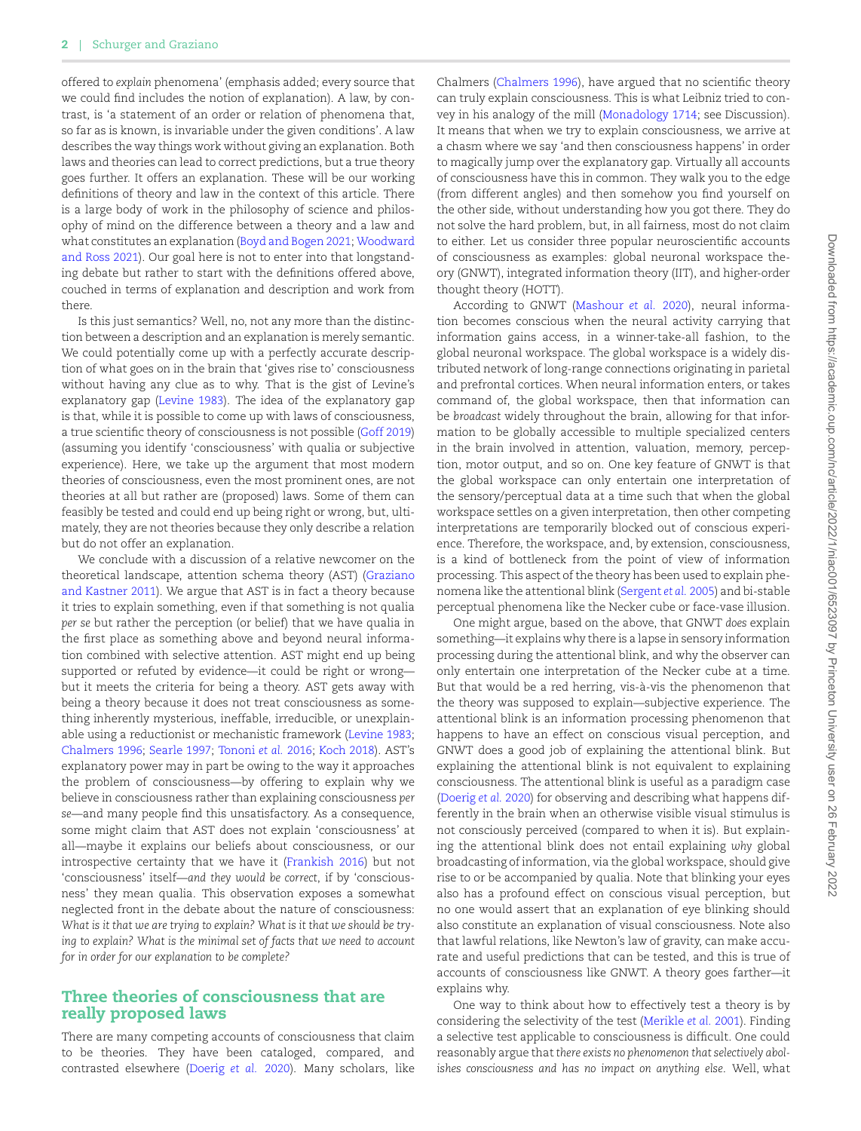offered to *explain* phenomena' (emphasis added; every source that we could find includes the notion of explanation). A law, by contrast, is 'a statement of an order or relation of phenomena that, so far as is known, is invariable under the given conditions'. A law describes the way things work without giving an explanation. Both laws and theories can lead to correct predictions, but a true theory goes further. It offers an explanation. These will be our working definitions of theory and law in the context of this article. There is a large body of work in the philosophy of science and philosophy of mind on the difference between a theory and a law and what constitutes an explanation([Boyd and Bogen 2021;](#page-7-0) [Woodward](#page-8-0) [and Ross 2021\)](#page-8-0). Our goal here is not to enter into that longstanding debate but rather to start with the definitions offered above, couched in terms of explanation and description and work from there.

Is this just semantics? Well, no, not any more than the distinction between a description and an explanation is merely semantic. We could potentially come up with a perfectly accurate description of what goes on in the brain that 'gives rise to' consciousness without having any clue as to why. That is the gist of Levine's explanatory gap([Levine 1983\)](#page-7-1). The idea of the explanatory gap is that, while it is possible to come up with laws of consciousness, a true scientific theory of consciousness is not possible [\(Goff 2019](#page-7-2)) (assuming you identify 'consciousness' with qualia or subjective experience). Here, we take up the argument that most modern theories of consciousness, even the most prominent ones, are not theories at all but rather are (proposed) laws. Some of them can feasibly be tested and could end up being right or wrong, but, ultimately, they are not theories because they only describe a relation but do not offer an explanation.

We conclude with a discussion of a relative newcomer on the theoretical landscape, attention schema theory (AST) [\(Graziano](#page-7-3) [and Kastner 2011\)](#page-7-3). We argue that AST is in fact a theory because it tries to explain something, even if that something is not qualia *per se* but rather the perception (or belief) that we have qualia in the first place as something above and beyond neural information combined with selective attention. AST might end up being supported or refuted by evidence—it could be right or wrong but it meets the criteria for being a theory. AST gets away with being a theory because it does not treat consciousness as something inherently mysterious, ineffable, irreducible, or unexplainable using a reductionist or mechanistic framework([Levine 1983;](#page-7-1) [Chalmers 1996;](#page-7-4) [Searle 1997](#page-7-5); [Tononi](#page-7-6) *et al.* 2016; [Koch 2018](#page-7-7)). AST's explanatory power may in part be owing to the way it approaches the problem of consciousness—by offering to explain why we believe in consciousness rather than explaining consciousness *per se*—and many people find this unsatisfactory. As a consequence, some might claim that AST does not explain 'consciousness' at all—maybe it explains our beliefs about consciousness, or our introspective certainty that we have it [\(Frankish 2016\)](#page-7-8) but not 'consciousness' itself—*and they would be correct*, if by 'consciousness' they mean qualia. This observation exposes a somewhat neglected front in the debate about the nature of consciousness: *What is it that we are trying to explain? What is it that we should be trying to explain? What is the minimal set of facts that we need to account for in order for our explanation to be complete?*

### **Three theories of consciousness that are really proposed laws**

There are many competing accounts of consciousness that claim to be theories. They have been cataloged, compared, and contrasted elsewhere([Doerig](#page-7-9) *et al.* 2020). Many scholars, like Chalmers([Chalmers 1996\)](#page-7-4), have argued that no scientific theory can truly explain consciousness. This is what Leibniz tried to convey in his analogy of the mill([Monadology 1714](#page-7-10); see Discussion). It means that when we try to explain consciousness, we arrive at a chasm where we say 'and then consciousness happens' in order to magically jump over the explanatory gap. Virtually all accounts of consciousness have this in common. They walk you to the edge (from different angles) and then somehow you find yourself on the other side, without understanding how you got there. They do not solve the hard problem, but, in all fairness, most do not claim to either. Let us consider three popular neuroscientific accounts of consciousness as examples: global neuronal workspace theory (GNWT), integrated information theory (IIT), and higher-order thought theory (HOTT).

According to GNWT [\(Mashour](#page-7-11) *et al.* 2020), neural information becomes conscious when the neural activity carrying that information gains access, in a winner-take-all fashion, to the global neuronal workspace. The global workspace is a widely distributed network of long-range connections originating in parietal and prefrontal cortices. When neural information enters, or takes command of, the global workspace, then that information can be *broadcast* widely throughout the brain, allowing for that information to be globally accessible to multiple specialized centers in the brain involved in attention, valuation, memory, perception, motor output, and so on. One key feature of GNWT is that the global workspace can only entertain one interpretation of the sensory/perceptual data at a time such that when the global workspace settles on a given interpretation, then other competing interpretations are temporarily blocked out of conscious experience. Therefore, the workspace, and, by extension, consciousness, is a kind of bottleneck from the point of view of information processing. This aspect of the theory has been used to explain phenomena like the attentional blink [\(Sergent](#page-7-12) *et al.* 2005) and bi-stable perceptual phenomena like the Necker cube or face-vase illusion.

One might argue, based on the above, that GNWT *does* explain something—it explains why there is a lapse in sensory information processing during the attentional blink, and why the observer can only entertain one interpretation of the Necker cube at a time. But that would be a red herring, vis-à-vis the phenomenon that the theory was supposed to explain—subjective experience. The attentional blink is an information processing phenomenon that happens to have an effect on conscious visual perception, and GNWT does a good job of explaining the attentional blink. But explaining the attentional blink is not equivalent to explaining consciousness. The attentional blink is useful as a paradigm case ([Doerig](#page-7-9) *et al.* 2020) for observing and describing what happens differently in the brain when an otherwise visible visual stimulus is not consciously perceived (compared to when it is). But explaining the attentional blink does not entail explaining *why* global broadcasting of information, via the global workspace, should give rise to or be accompanied by qualia. Note that blinking your eyes also has a profound effect on conscious visual perception, but no one would assert that an explanation of eye blinking should also constitute an explanation of visual consciousness. Note also that lawful relations, like Newton's law of gravity, can make accurate and useful predictions that can be tested, and this is true of accounts of consciousness like GNWT. A theory goes farther—it explains why.

One way to think about how to effectively test a theory is by considering the selectivity of the test [\(Merikle](#page-7-13) *et al.* 2001). Finding a selective test applicable to consciousness is difficult. One could reasonably argue that *there exists no phenomenon that selectively abolishes consciousness and has no impact on anything else*. Well, what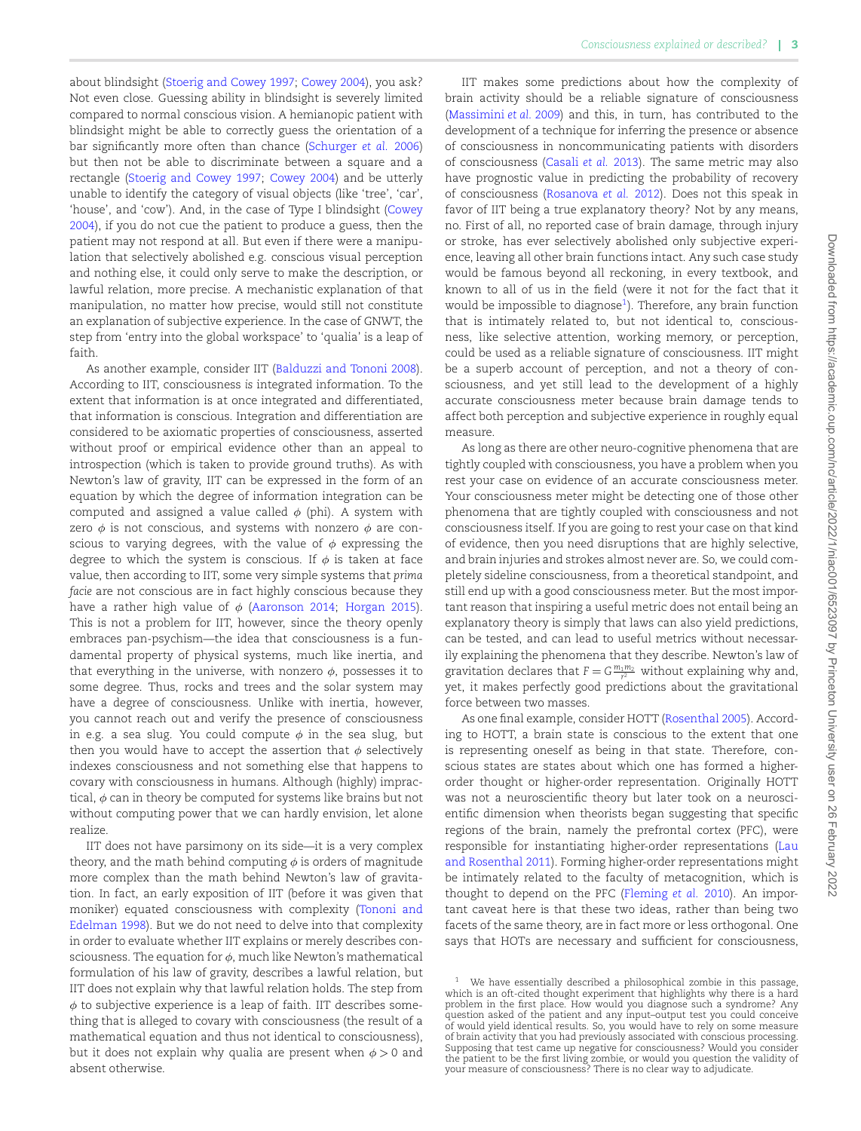about blindsight([Stoerig and Cowey 1997;](#page-7-14) [Cowey 2004\)](#page-7-15), you ask? Not even close. Guessing ability in blindsight is severely limited compared to normal conscious vision. A hemianopic patient with blindsight might be able to correctly guess the orientation of a bar significantly more often than chance [\(Schurger](#page-7-16) *et al.* 2006) but then not be able to discriminate between a square and a rectangle([Stoerig and Cowey 1997;](#page-7-14) [Cowey 2004\)](#page-7-15) and be utterly unable to identify the category of visual objects (like 'tree', 'car', 'house', and 'cow'). And, in the case of Type I blindsight [\(Cowey](#page-7-15) [2004\)](#page-7-15), if you do not cue the patient to produce a guess, then the patient may not respond at all. But even if there were a manipulation that selectively abolished e.g. conscious visual perception and nothing else, it could only serve to make the description, or lawful relation, more precise. A mechanistic explanation of that manipulation, no matter how precise, would still not constitute an explanation of subjective experience. In the case of GNWT, the step from 'entry into the global workspace' to 'qualia' is a leap of faith.

As another example, consider IIT([Balduzzi and Tononi 2008\)](#page-7-17). According to IIT, consciousness *is* integrated information. To the extent that information is at once integrated and differentiated, that information is conscious. Integration and differentiation are considered to be axiomatic properties of consciousness, asserted without proof or empirical evidence other than an appeal to introspection (which is taken to provide ground truths). As with Newton's law of gravity, IIT can be expressed in the form of an equation by which the degree of information integration can be computed and assigned a value called *ϕ* (phi). A system with zero *ϕ* is not conscious, and systems with nonzero *ϕ* are conscious to varying degrees, with the value of  $\phi$  expressing the degree to which the system is conscious. If  $\phi$  is taken at face value, then according to IIT, some very simple systems that *prima facie* are not conscious are in fact highly conscious because they have a rather high value of *ϕ* [\(Aaronson 2014;](#page-7-18) [Horgan 2015\)](#page-7-19). This is not a problem for IIT, however, since the theory openly embraces pan-psychism—the idea that consciousness is a fundamental property of physical systems, much like inertia, and that everything in the universe, with nonzero *ϕ*, possesses it to some degree. Thus, rocks and trees and the solar system may have a degree of consciousness. Unlike with inertia, however, you cannot reach out and verify the presence of consciousness in e.g. a sea slug. You could compute  $\phi$  in the sea slug, but then you would have to accept the assertion that *ϕ* selectively indexes consciousness and not something else that happens to covary with consciousness in humans. Although (highly) impractical,  $\phi$  can in theory be computed for systems like brains but not without computing power that we can hardly envision, let alone realize.

IIT does not have parsimony on its side—it is a very complex theory, and the math behind computing  $\phi$  is orders of magnitude more complex than the math behind Newton's law of gravitation. In fact, an early exposition of IIT (before it was given that moniker) equated consciousness with complexity [\(Tononi and](#page-7-20) [Edelman 1998\)](#page-7-20). But we do not need to delve into that complexity in order to evaluate whether IIT explains or merely describes consciousness. The equation for *ϕ*, much like Newton's mathematical formulation of his law of gravity, describes a lawful relation, but IIT does not explain why that lawful relation holds. The step from *ϕ* to subjective experience is a leap of faith. IIT describes something that is alleged to covary with consciousness (the result of a mathematical equation and thus not identical to consciousness), but it does not explain why qualia are present when *ϕ >* 0 and absent otherwise.

IIT makes some predictions about how the complexity of brain activity should be a reliable signature of consciousness [\(Massimini](#page-7-21) *et al.* 2009) and this, in turn, has contributed to the development of a technique for inferring the presence or absence of consciousness in noncommunicating patients with disorders of consciousness([Casali](#page-7-22) *et al.* 2013). The same metric may also have prognostic value in predicting the probability of recovery of consciousness [\(Rosanova](#page-7-23) *et al.* 2012). Does not this speak in favor of IIT being a true explanatory theory? Not by any means, no. First of all, no reported case of brain damage, through injury or stroke, has ever selectively abolished only subjective experience, leaving all other brain functions intact. Any such case study would be famous beyond all reckoning, in every textbook, and known to all of us in the field (were it not for the fact that it would be impossible to diagnose $^1$  $^1$ ). Therefore, any brain function that is intimately related to, but not identical to, consciousness, like selective attention, working memory, or perception, could be used as a reliable signature of consciousness. IIT might be a superb account of perception, and not a theory of consciousness, and yet still lead to the development of a highly accurate consciousness meter because brain damage tends to affect both perception and subjective experience in roughly equal measure.

As long as there are other neuro-cognitive phenomena that are tightly coupled with consciousness, you have a problem when you rest your case on evidence of an accurate consciousness meter. Your consciousness meter might be detecting one of those other phenomena that are tightly coupled with consciousness and not consciousness itself. If you are going to rest your case on that kind of evidence, then you need disruptions that are highly selective, and brain injuries and strokes almost never are. So, we could completely sideline consciousness, from a theoretical standpoint, and still end up with a good consciousness meter. But the most important reason that inspiring a useful metric does not entail being an explanatory theory is simply that laws can also yield predictions, can be tested, and can lead to useful metrics without necessarily explaining the phenomena that they describe. Newton's law of gravitation declares that  $F = G \frac{m_1 m_2}{r^2}$  without explaining why and, yet, it makes perfectly good predictions about the gravitational force between two masses.

As one final example, consider HOTT [\(Rosenthal 2005\)](#page-7-24). According to HOTT, a brain state is conscious to the extent that one is representing oneself as being in that state. Therefore, conscious states are states about which one has formed a higherorder thought or higher-order representation. Originally HOTT was not a neuroscientific theory but later took on a neuroscientific dimension when theorists began suggesting that specific regions of the brain, namely the prefrontal cortex (PFC), were responsible for instantiating higher-order representations [\(Lau](#page-7-25) [and Rosenthal 2011](#page-7-25)). Forming higher-order representations might be intimately related to the faculty of metacognition, which is thought to depend on the PFC([Fleming](#page-7-26) *et al.* 2010). An important caveat here is that these two ideas, rather than being two facets of the same theory, are in fact more or less orthogonal. One says that HOTs are necessary and sufficient for consciousness,

<span id="page-2-0"></span>We have essentially described a philosophical zombie in this passage which is an oft-cited thought experiment that highlights why there is a hard problem in the first place. How would you diagnose such a syndrome? Any question asked of the patient and any input–output test you could conceive of would yield identical results. So, you would have to rely on some measure of brain activity that you had previously associated with conscious processing. Supposing that test came up negative for consciousness? Would you consider the patient to be the first living zombie, or would you question the validity of your measure of consciousness? There is no clear way to adjudicate.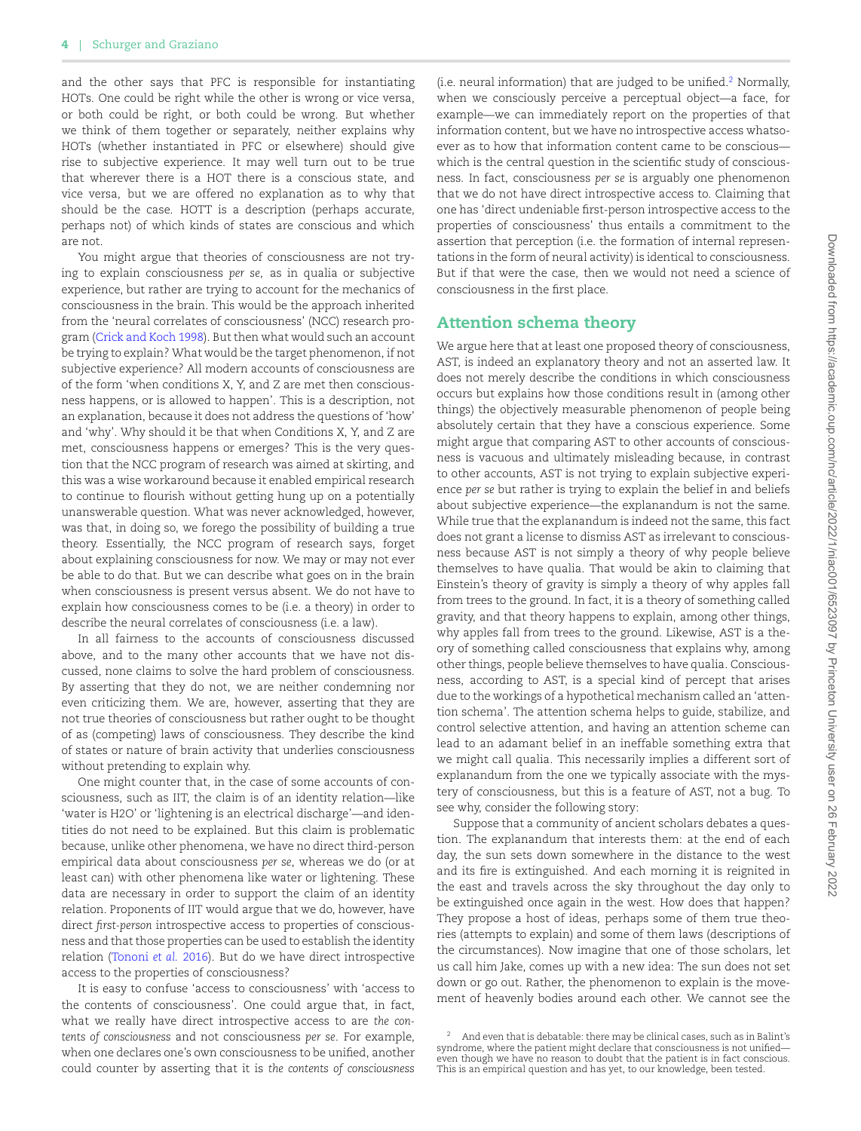and the other says that PFC is responsible for instantiating HOTs. One could be right while the other is wrong or vice versa, or both could be right, or both could be wrong. But whether we think of them together or separately, neither explains why HOTs (whether instantiated in PFC or elsewhere) should give rise to subjective experience. It may well turn out to be true that wherever there is a HOT there is a conscious state, and vice versa, but we are offered no explanation as to why that should be the case. HOTT is a description (perhaps accurate, perhaps not) of which kinds of states are conscious and which are not.

You might argue that theories of consciousness are not trying to explain consciousness *per se*, as in qualia or subjective experience, but rather are trying to account for the mechanics of consciousness in the brain. This would be the approach inherited from the 'neural correlates of consciousness' (NCC) research program [\(Crick and Koch 1998\)](#page-7-27). But then what would such an account be trying to explain? What would be the target phenomenon, if not subjective experience? All modern accounts of consciousness are of the form 'when conditions X, Y, and Z are met then consciousness happens, or is allowed to happen'. This is a description, not an explanation, because it does not address the questions of 'how' and 'why'. Why should it be that when Conditions X, Y, and Z are met, consciousness happens or emerges? This is the very question that the NCC program of research was aimed at skirting, and this was a wise workaround because it enabled empirical research to continue to flourish without getting hung up on a potentially unanswerable question. What was never acknowledged, however, was that, in doing so, we forego the possibility of building a true theory. Essentially, the NCC program of research says, forget about explaining consciousness for now. We may or may not ever be able to do that. But we can describe what goes on in the brain when consciousness is present versus absent. We do not have to explain how consciousness comes to be (i.e. a theory) in order to describe the neural correlates of consciousness (i.e. a law).

In all fairness to the accounts of consciousness discussed above, and to the many other accounts that we have not discussed, none claims to solve the hard problem of consciousness. By asserting that they do not, we are neither condemning nor even criticizing them. We are, however, asserting that they are not true theories of consciousness but rather ought to be thought of as (competing) laws of consciousness. They describe the kind of states or nature of brain activity that underlies consciousness without pretending to explain why.

One might counter that, in the case of some accounts of consciousness, such as IIT, the claim is of an identity relation—like 'water is H2O' or 'lightening is an electrical discharge'—and identities do not need to be explained. But this claim is problematic because, unlike other phenomena, we have no direct third-person empirical data about consciousness *per se*, whereas we do (or at least can) with other phenomena like water or lightening. These data are necessary in order to support the claim of an identity relation. Proponents of IIT would argue that we do, however, have direct *first-person* introspective access to properties of consciousness and that those properties can be used to establish the identity relation [\(Tononi](#page-7-6) *et al.* 2016). But do we have direct introspective access to the properties of consciousness?

It is easy to confuse 'access to consciousness' with 'access to the contents of consciousness'. One could argue that, in fact, what we really have direct introspective access to are *the contents of consciousness* and not consciousness *per se*. For example, when one declares one's own consciousness to be unified, another could counter by asserting that it is *the contents of consciousness*  $(i.e.$  neural information) that are judged to be unified.<sup>[2](#page-3-0)</sup> Normally, when we consciously perceive a perceptual object—a face, for example—we can immediately report on the properties of that information content, but we have no introspective access whatsoever as to how that information content came to be conscious which is the central question in the scientific study of consciousness. In fact, consciousness *per se* is arguably one phenomenon that we do not have direct introspective access to. Claiming that one has 'direct undeniable first-person introspective access to the properties of consciousness' thus entails a commitment to the assertion that perception (i.e. the formation of internal representations in the form of neural activity) is identical to consciousness. But if that were the case, then we would not need a science of consciousness in the first place.

### **Attention schema theory**

We argue here that at least one proposed theory of consciousness, AST, is indeed an explanatory theory and not an asserted law. It does not merely describe the conditions in which consciousness occurs but explains how those conditions result in (among other things) the objectively measurable phenomenon of people being absolutely certain that they have a conscious experience. Some might argue that comparing AST to other accounts of consciousness is vacuous and ultimately misleading because, in contrast to other accounts, AST is not trying to explain subjective experience *per se* but rather is trying to explain the belief in and beliefs about subjective experience—the explanandum is not the same. While true that the explanandum is indeed not the same, this fact does not grant a license to dismiss AST as irrelevant to consciousness because AST is not simply a theory of why people believe themselves to have qualia. That would be akin to claiming that Einstein's theory of gravity is simply a theory of why apples fall from trees to the ground. In fact, it is a theory of something called gravity, and that theory happens to explain, among other things, why apples fall from trees to the ground. Likewise, AST is a theory of something called consciousness that explains why, among other things, people believe themselves to have qualia. Consciousness, according to AST, is a special kind of percept that arises due to the workings of a hypothetical mechanism called an 'attention schema'. The attention schema helps to guide, stabilize, and control selective attention, and having an attention scheme can lead to an adamant belief in an ineffable something extra that we might call qualia. This necessarily implies a different sort of explanandum from the one we typically associate with the mystery of consciousness, but this is a feature of AST, not a bug. To see why, consider the following story:

Suppose that a community of ancient scholars debates a question. The explanandum that interests them: at the end of each day, the sun sets down somewhere in the distance to the west and its fire is extinguished. And each morning it is reignited in the east and travels across the sky throughout the day only to be extinguished once again in the west. How does that happen? They propose a host of ideas, perhaps some of them true theories (attempts to explain) and some of them laws (descriptions of the circumstances). Now imagine that one of those scholars, let us call him Jake, comes up with a new idea: The sun does not set down or go out. Rather, the phenomenon to explain is the movement of heavenly bodies around each other. We cannot see the

<span id="page-3-0"></span><sup>2</sup> And even that is debatable: there may be clinical cases, such as in Balint's syndrome, where the patient might declare that consciousness is not unified even though we have no reason to doubt that the patient is in fact conscious. This is an empirical question and has yet, to our knowledge, been tested.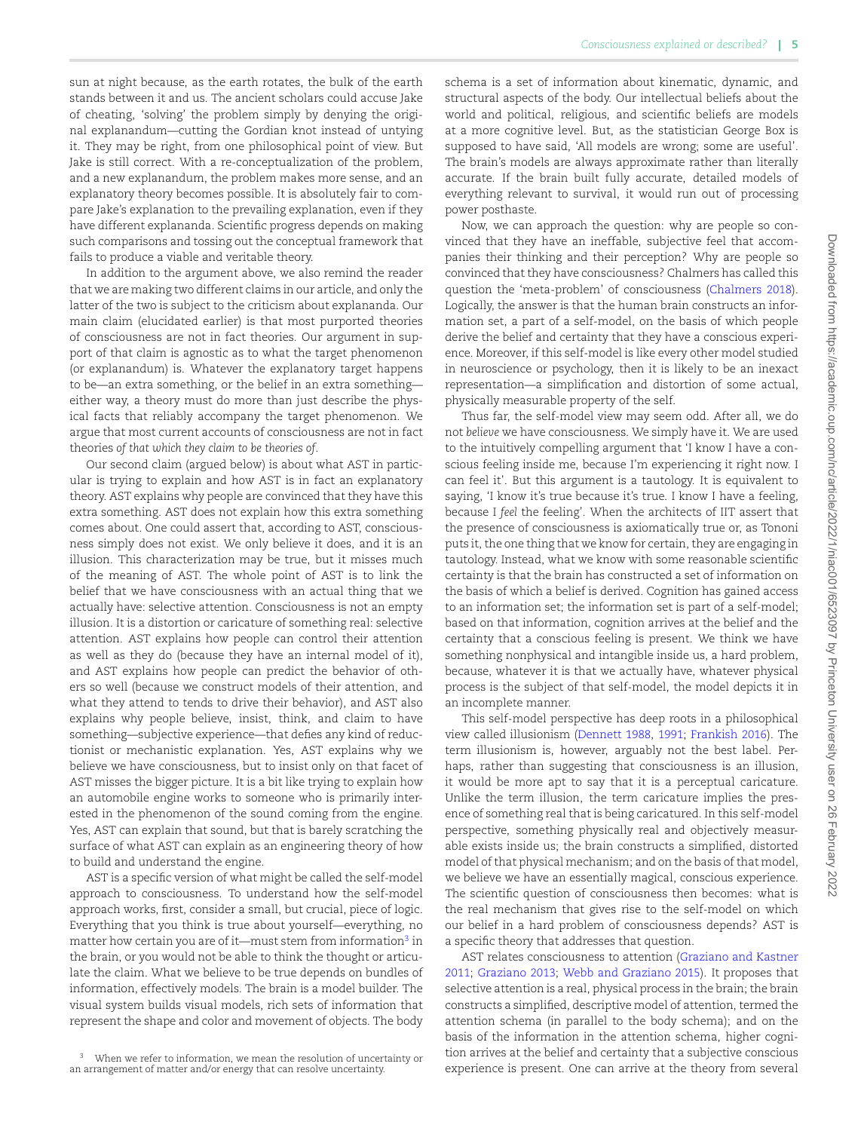sun at night because, as the earth rotates, the bulk of the earth stands between it and us. The ancient scholars could accuse Jake of cheating, 'solving' the problem simply by denying the original explanandum—cutting the Gordian knot instead of untying it. They may be right, from one philosophical point of view. But Jake is still correct. With a re-conceptualization of the problem, and a new explanandum, the problem makes more sense, and an explanatory theory becomes possible. It is absolutely fair to compare Jake's explanation to the prevailing explanation, even if they have different explananda. Scientific progress depends on making such comparisons and tossing out the conceptual framework that fails to produce a viable and veritable theory.

In addition to the argument above, we also remind the reader that we are making two different claims in our article, and only the latter of the two is subject to the criticism about explananda. Our main claim (elucidated earlier) is that most purported theories of consciousness are not in fact theories. Our argument in support of that claim is agnostic as to what the target phenomenon (or explanandum) is. Whatever the explanatory target happens to be—an extra something, or the belief in an extra something either way, a theory must do more than just describe the physical facts that reliably accompany the target phenomenon. We argue that most current accounts of consciousness are not in fact theories *of that which they claim to be theories of*.

Our second claim (argued below) is about what AST in particular is trying to explain and how AST is in fact an explanatory theory. AST explains why people are convinced that they have this extra something. AST does not explain how this extra something comes about. One could assert that, according to AST, consciousness simply does not exist. We only believe it does, and it is an illusion. This characterization may be true, but it misses much of the meaning of AST. The whole point of AST is to link the belief that we have consciousness with an actual thing that we actually have: selective attention. Consciousness is not an empty illusion. It is a distortion or caricature of something real: selective attention. AST explains how people can control their attention as well as they do (because they have an internal model of it), and AST explains how people can predict the behavior of others so well (because we construct models of their attention, and what they attend to tends to drive their behavior), and AST also explains why people believe, insist, think, and claim to have something—subjective experience—that defies any kind of reductionist or mechanistic explanation. Yes, AST explains why we believe we have consciousness, but to insist only on that facet of AST misses the bigger picture. It is a bit like trying to explain how an automobile engine works to someone who is primarily interested in the phenomenon of the sound coming from the engine. Yes, AST can explain that sound, but that is barely scratching the surface of what AST can explain as an engineering theory of how to build and understand the engine.

AST is a specific version of what might be called the self-model approach to consciousness. To understand how the self-model approach works, first, consider a small, but crucial, piece of logic. Everything that you think is true about yourself—everything, no matter how certain you are of it—must stem from information<sup>[3](#page-4-0)</sup> in the brain, or you would not be able to think the thought or articulate the claim. What we believe to be true depends on bundles of information, effectively models. The brain is a model builder. The visual system builds visual models, rich sets of information that represent the shape and color and movement of objects. The body

<span id="page-4-0"></span><sup>3</sup> When we refer to information, we mean the resolution of uncertainty or an arrangement of matter and/or energy that can resolve uncertainty.

schema is a set of information about kinematic, dynamic, and structural aspects of the body. Our intellectual beliefs about the world and political, religious, and scientific beliefs are models at a more cognitive level. But, as the statistician George Box is supposed to have said, 'All models are wrong; some are useful'. The brain's models are always approximate rather than literally accurate. If the brain built fully accurate, detailed models of everything relevant to survival, it would run out of processing power posthaste.

Now, we can approach the question: why are people so convinced that they have an ineffable, subjective feel that accompanies their thinking and their perception? Why are people so convinced that they have consciousness? Chalmers has called this question the 'meta-problem' of consciousness([Chalmers 2018\)](#page-7-28). Logically, the answer is that the human brain constructs an information set, a part of a self-model, on the basis of which people derive the belief and certainty that they have a conscious experience. Moreover, if this self-model is like every other model studied in neuroscience or psychology, then it is likely to be an inexact representation—a simplification and distortion of some actual, physically measurable property of the self.

Thus far, the self-model view may seem odd. After all, we do not *believe* we have consciousness. We simply have it. We are used to the intuitively compelling argument that 'I know I have a conscious feeling inside me, because I'm experiencing it right now. I can feel it'. But this argument is a tautology. It is equivalent to saying, 'I know it's true because it's true. I know I have a feeling, because I *feel* the feeling'. When the architects of IIT assert that the presence of consciousness is axiomatically true or, as Tononi puts it, the one thing that we know for certain, they are engaging in tautology. Instead, what we know with some reasonable scientific certainty is that the brain has constructed a set of information on the basis of which a belief is derived. Cognition has gained access to an information set; the information set is part of a self-model; based on that information, cognition arrives at the belief and the certainty that a conscious feeling is present. We think we have something nonphysical and intangible inside us, a hard problem, because, whatever it is that we actually have, whatever physical process is the subject of that self-model, the model depicts it in an incomplete manner.

This self-model perspective has deep roots in a philosophical view called illusionism([Dennett 1988](#page-7-29), [1991;](#page-7-30) [Frankish 2016](#page-7-8)). The term illusionism is, however, arguably not the best label. Perhaps, rather than suggesting that consciousness is an illusion, it would be more apt to say that it is a perceptual caricature. Unlike the term illusion, the term caricature implies the presence of something real that is being caricatured. In this self-model perspective, something physically real and objectively measurable exists inside us; the brain constructs a simplified, distorted model of that physical mechanism; and on the basis of that model, we believe we have an essentially magical, conscious experience. The scientific question of consciousness then becomes: what is the real mechanism that gives rise to the self-model on which our belief in a hard problem of consciousness depends? AST is a specific theory that addresses that question.

AST relates consciousness to attention [\(Graziano and Kastner](#page-7-3) [2011](#page-7-3); [Graziano 2013](#page-7-31); [Webb and Graziano 2015](#page-7-32)). It proposes that selective attention is a real, physical process in the brain; the brain constructs a simplified, descriptive model of attention, termed the attention schema (in parallel to the body schema); and on the basis of the information in the attention schema, higher cognition arrives at the belief and certainty that a subjective conscious experience is present. One can arrive at the theory from several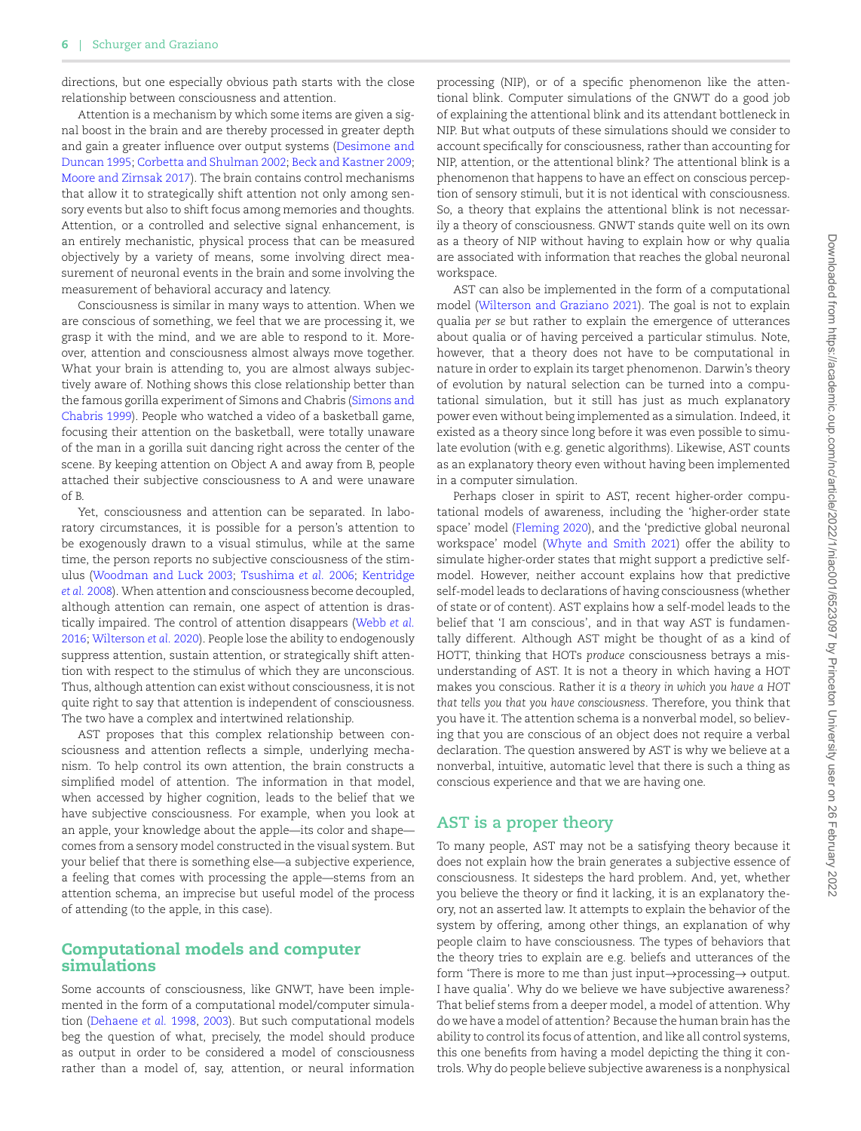directions, but one especially obvious path starts with the close relationship between consciousness and attention.

Attention is a mechanism by which some items are given a signal boost in the brain and are thereby processed in greater depth and gain a greater influence over output systems([Desimone and](#page-7-33) [Duncan 1995](#page-7-33); [Corbetta and Shulman 2002;](#page-7-34) [Beck and Kastner 2009;](#page-7-35) [Moore and Zirnsak 2017\)](#page-7-36). The brain contains control mechanisms that allow it to strategically shift attention not only among sensory events but also to shift focus among memories and thoughts. Attention, or a controlled and selective signal enhancement, is an entirely mechanistic, physical process that can be measured objectively by a variety of means, some involving direct measurement of neuronal events in the brain and some involving the measurement of behavioral accuracy and latency.

Consciousness is similar in many ways to attention. When we are conscious of something, we feel that we are processing it, we grasp it with the mind, and we are able to respond to it. Moreover, attention and consciousness almost always move together. What your brain is attending to, you are almost always subjectively aware of. Nothing shows this close relationship better than the famous gorilla experiment of Simons and Chabris [\(Simons and](#page-7-37) [Chabris 1999](#page-7-37)). People who watched a video of a basketball game, focusing their attention on the basketball, were totally unaware of the man in a gorilla suit dancing right across the center of the scene. By keeping attention on Object A and away from B, people attached their subjective consciousness to A and were unaware of B.

Yet, consciousness and attention can be separated. In laboratory circumstances, it is possible for a person's attention to be exogenously drawn to a visual stimulus, while at the same time, the person reports no subjective consciousness of the stimulus [\(Woodman and Luck 2003](#page-8-1); [Tsushima](#page-7-38) *et al.* 2006; [Kentridge](#page-7-39) *et al.* [2008\)](#page-7-39). When attention and consciousness become decoupled, although attention can remain, one aspect of attention is drastically impaired. The control of attention disappears [\(Webb](#page-7-40) *et al.* [2016;](#page-7-40) [Wilterson](#page-8-2) *et al.* 2020). People lose the ability to endogenously suppress attention, sustain attention, or strategically shift attention with respect to the stimulus of which they are unconscious. Thus, although attention can exist without consciousness, it is not quite right to say that attention is independent of consciousness. The two have a complex and intertwined relationship.

AST proposes that this complex relationship between consciousness and attention reflects a simple, underlying mechanism. To help control its own attention, the brain constructs a simplified model of attention. The information in that model, when accessed by higher cognition, leads to the belief that we have subjective consciousness. For example, when you look at an apple, your knowledge about the apple—its color and shape comes from a sensory model constructed in the visual system. But your belief that there is something else—a subjective experience, a feeling that comes with processing the apple—stems from an attention schema, an imprecise but useful model of the process of attending (to the apple, in this case).

#### **Computational models and computer simulations**

Some accounts of consciousness, like GNWT, have been implemented in the form of a computational model/computer simulation([Dehaene](#page-7-41) *et al.* 1998, [2003](#page-7-42)). But such computational models beg the question of what, precisely, the model should produce as output in order to be considered a model of consciousness rather than a model of, say, attention, or neural information processing (NIP), or of a specific phenomenon like the attentional blink. Computer simulations of the GNWT do a good job of explaining the attentional blink and its attendant bottleneck in NIP. But what outputs of these simulations should we consider to account specifically for consciousness, rather than accounting for NIP, attention, or the attentional blink? The attentional blink is a phenomenon that happens to have an effect on conscious perception of sensory stimuli, but it is not identical with consciousness. So, a theory that explains the attentional blink is not necessarily a theory of consciousness. GNWT stands quite well on its own as a theory of NIP without having to explain how or why qualia are associated with information that reaches the global neuronal workspace.

AST can also be implemented in the form of a computational model [\(Wilterson and Graziano 2021](#page-8-3)). The goal is not to explain qualia *per se* but rather to explain the emergence of utterances about qualia or of having perceived a particular stimulus. Note, however, that a theory does not have to be computational in nature in order to explain its target phenomenon. Darwin's theory of evolution by natural selection can be turned into a computational simulation, but it still has just as much explanatory power even without being implemented as a simulation. Indeed, it existed as a theory since long before it was even possible to simulate evolution (with e.g. genetic algorithms). Likewise, AST counts as an explanatory theory even without having been implemented in a computer simulation.

Perhaps closer in spirit to AST, recent higher-order computational models of awareness, including the 'higher-order state space' model([Fleming 2020\)](#page-7-43), and the 'predictive global neuronal workspace' model([Whyte and Smith 2021\)](#page-7-44) offer the ability to simulate higher-order states that might support a predictive selfmodel. However, neither account explains how that predictive self-model leads to declarations of having consciousness (whether of state or of content). AST explains how a self-model leads to the belief that 'I am conscious', and in that way AST is fundamentally different. Although AST might be thought of as a kind of HOTT, thinking that HOTs *produce* consciousness betrays a misunderstanding of AST. It is not a theory in which having a HOT makes you conscious. Rather *it is a theory in which you have a HOT that tells you that you have consciousness*. Therefore, you think that you have it. The attention schema is a nonverbal model, so believing that you are conscious of an object does not require a verbal declaration. The question answered by AST is why we believe at a nonverbal, intuitive, automatic level that there is such a thing as conscious experience and that we are having one.

## **AST is a proper theory**

To many people, AST may not be a satisfying theory because it does not explain how the brain generates a subjective essence of consciousness. It sidesteps the hard problem. And, yet, whether you believe the theory or find it lacking, it is an explanatory theory, not an asserted law. It attempts to explain the behavior of the system by offering, among other things, an explanation of why people claim to have consciousness. The types of behaviors that the theory tries to explain are e.g. beliefs and utterances of the form 'There is more to me than just input*→*processing*→* output. I have qualia'. Why do we believe we have subjective awareness? That belief stems from a deeper model, a model of attention. Why do we have a model of attention? Because the human brain has the ability to control its focus of attention, and like all control systems, this one benefits from having a model depicting the thing it controls. Why do people believe subjective awareness is a nonphysical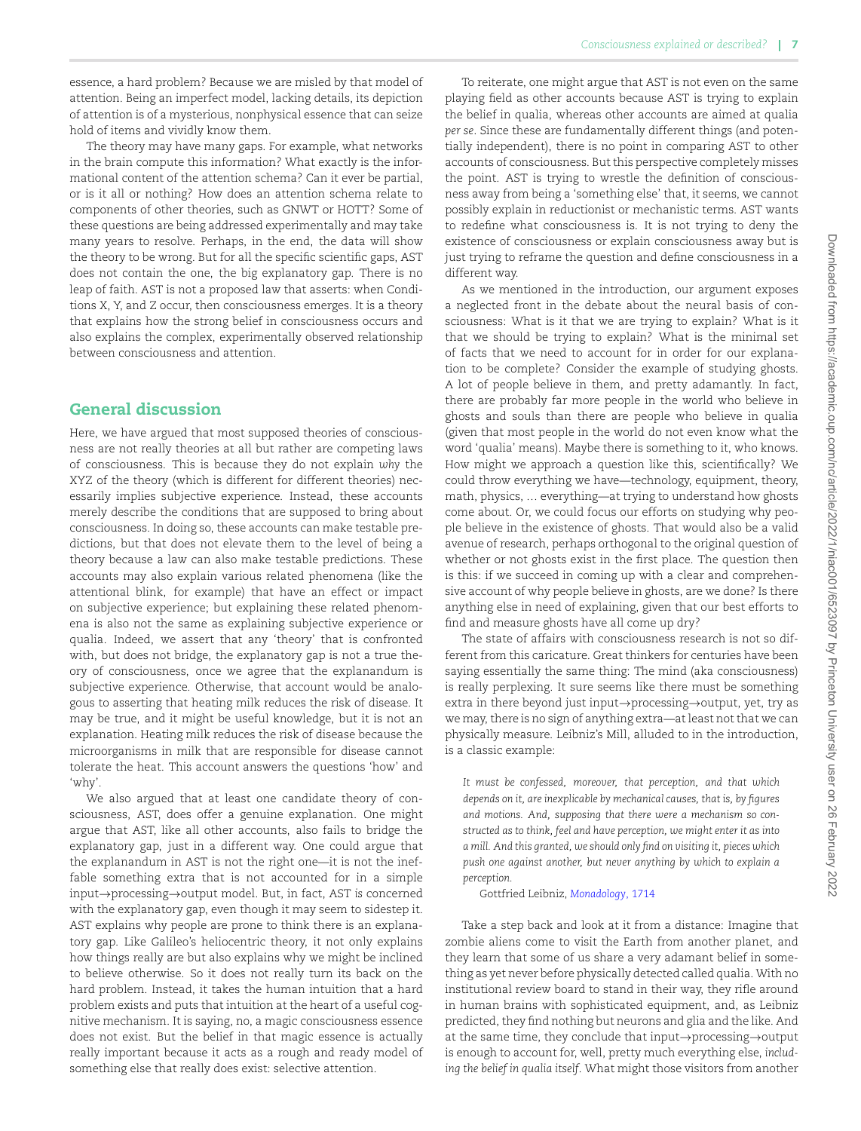essence, a hard problem? Because we are misled by that model of attention. Being an imperfect model, lacking details, its depiction of attention is of a mysterious, nonphysical essence that can seize hold of items and vividly know them.

The theory may have many gaps. For example, what networks in the brain compute this information? What exactly is the informational content of the attention schema? Can it ever be partial, or is it all or nothing? How does an attention schema relate to components of other theories, such as GNWT or HOTT? Some of these questions are being addressed experimentally and may take many years to resolve. Perhaps, in the end, the data will show the theory to be wrong. But for all the specific scientific gaps, AST does not contain the one, the big explanatory gap. There is no leap of faith. AST is not a proposed law that asserts: when Conditions X, Y, and Z occur, then consciousness emerges. It is a theory that explains how the strong belief in consciousness occurs and also explains the complex, experimentally observed relationship between consciousness and attention.

# **General discussion**

Here, we have argued that most supposed theories of consciousness are not really theories at all but rather are competing laws of consciousness. This is because they do not explain *why* the XYZ of the theory (which is different for different theories) necessarily implies subjective experience. Instead, these accounts merely describe the conditions that are supposed to bring about consciousness. In doing so, these accounts can make testable predictions, but that does not elevate them to the level of being a theory because a law can also make testable predictions. These accounts may also explain various related phenomena (like the attentional blink, for example) that have an effect or impact on subjective experience; but explaining these related phenomena is also not the same as explaining subjective experience or qualia. Indeed, we assert that any 'theory' that is confronted with, but does not bridge, the explanatory gap is not a true theory of consciousness, once we agree that the explanandum is subjective experience. Otherwise, that account would be analogous to asserting that heating milk reduces the risk of disease. It may be true, and it might be useful knowledge, but it is not an explanation. Heating milk reduces the risk of disease because the microorganisms in milk that are responsible for disease cannot tolerate the heat. This account answers the questions 'how' and 'why'.

We also argued that at least one candidate theory of consciousness, AST, does offer a genuine explanation. One might argue that AST, like all other accounts, also fails to bridge the explanatory gap, just in a different way. One could argue that the explanandum in AST is not the right one—it is not the ineffable something extra that is not accounted for in a simple input*→*processing*→*output model. But, in fact, AST *is* concerned with the explanatory gap, even though it may seem to sidestep it. AST explains why people are prone to think there is an explanatory gap. Like Galileo's heliocentric theory, it not only explains how things really are but also explains why we might be inclined to believe otherwise. So it does not really turn its back on the hard problem. Instead, it takes the human intuition that a hard problem exists and puts that intuition at the heart of a useful cognitive mechanism. It is saying, no, a magic consciousness essence does not exist. But the belief in that magic essence is actually really important because it acts as a rough and ready model of something else that really does exist: selective attention.

To reiterate, one might argue that AST is not even on the same playing field as other accounts because AST is trying to explain the belief in qualia, whereas other accounts are aimed at qualia *per se*. Since these are fundamentally different things (and potentially independent), there is no point in comparing AST to other accounts of consciousness. But this perspective completely misses the point. AST is trying to wrestle the definition of consciousness away from being a 'something else' that, it seems, we cannot possibly explain in reductionist or mechanistic terms. AST wants to redefine what consciousness is. It is not trying to deny the existence of consciousness or explain consciousness away but is just trying to reframe the question and define consciousness in a different way.

As we mentioned in the introduction, our argument exposes a neglected front in the debate about the neural basis of consciousness: What is it that we are trying to explain? What is it that we should be trying to explain? What is the minimal set of facts that we need to account for in order for our explanation to be complete? Consider the example of studying ghosts. A lot of people believe in them, and pretty adamantly. In fact, there are probably far more people in the world who believe in ghosts and souls than there are people who believe in qualia (given that most people in the world do not even know what the word 'qualia' means). Maybe there is something to it, who knows. How might we approach a question like this, scientifically? We could throw everything we have—technology, equipment, theory, math, physics, … everything—at trying to understand how ghosts come about. Or, we could focus our efforts on studying why people believe in the existence of ghosts. That would also be a valid avenue of research, perhaps orthogonal to the original question of whether or not ghosts exist in the first place. The question then is this: if we succeed in coming up with a clear and comprehensive account of why people believe in ghosts, are we done? Is there anything else in need of explaining, given that our best efforts to find and measure ghosts have all come up dry?

The state of affairs with consciousness research is not so different from this caricature. Great thinkers for centuries have been saying essentially the same thing: The mind (aka consciousness) is really perplexing. It sure seems like there must be something extra in there beyond just input*→*processing*→*output, yet, try as we may, there is no sign of anything extra—at least not that we can physically measure. Leibniz's Mill, alluded to in the introduction, is a classic example:

*It must be confessed, moreover, that perception, and that which depends on it, are inexplicable by mechanical causes, that is, by figures and motions. And, supposing that there were a mechanism so constructed as to think, feel and have perception, we might enter it as into a mill. And this granted, we should only find on visiting it, pieces which push one against another, but never anything by which to explain a perception.*

#### Gottfried Leibniz, *[Monadology](#page-7-10)*, 1714

Take a step back and look at it from a distance: Imagine that zombie aliens come to visit the Earth from another planet, and they learn that some of us share a very adamant belief in something as yet never before physically detected called qualia. With no institutional review board to stand in their way, they rifle around in human brains with sophisticated equipment, and, as Leibniz predicted, they find nothing but neurons and glia and the like. And at the same time, they conclude that input*→*processing*→*output is enough to account for, well, pretty much everything else, *including the belief in qualia itself*. What might those visitors from another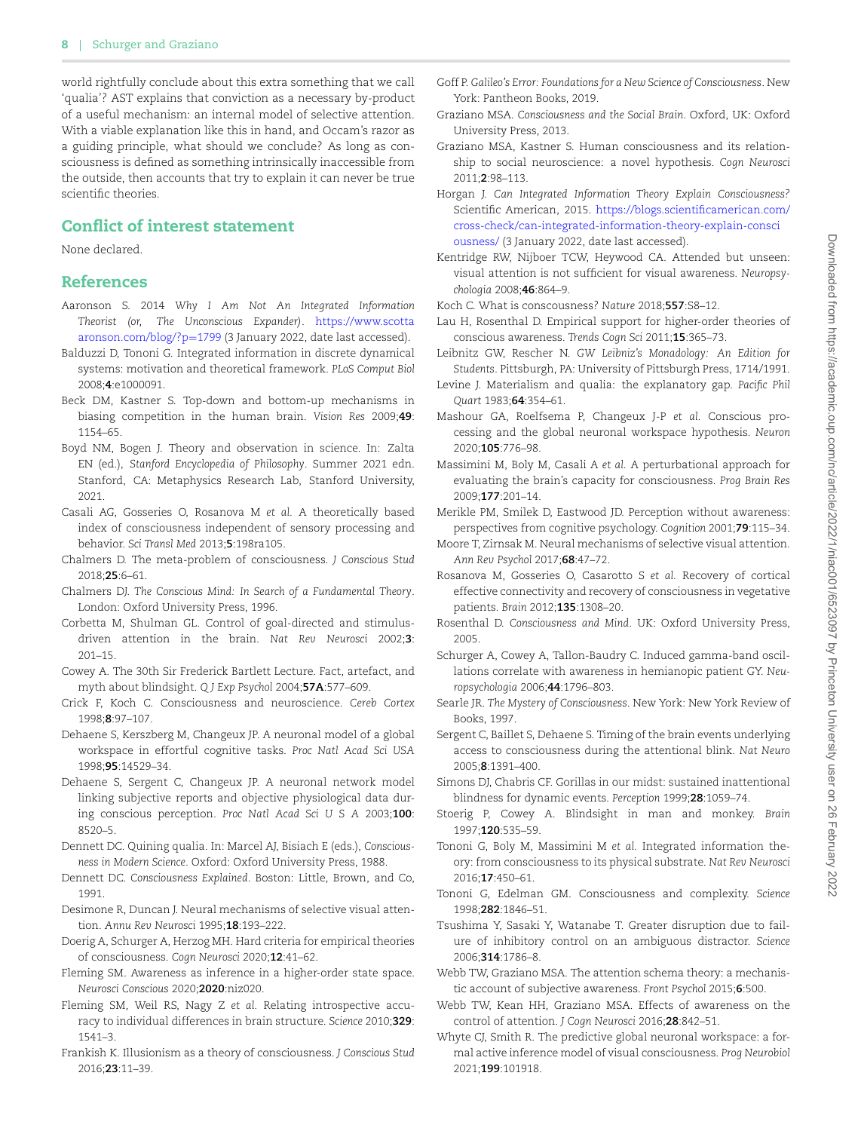world rightfully conclude about this extra something that we call 'qualia'? AST explains that conviction as a necessary by-product of a useful mechanism: an internal model of selective attention. With a viable explanation like this in hand, and Occam's razor as a guiding principle, what should we conclude? As long as consciousness is defined as something intrinsically inaccessible from the outside, then accounts that try to explain it can never be true scientific theories.

## **Conflict of interest statement**

None declared.

### **References**

- <span id="page-7-18"></span>Aaronson S. 2014 *Why I Am Not An Integrated Information Theorist (or, The Unconscious Expander)*. [https://www.scotta](https://www.scottaaronson.com/blog/?p=1799) [aronson.com/blog/?p](https://www.scottaaronson.com/blog/?p=1799)=1799 (3 January 2022, date last accessed).
- <span id="page-7-17"></span>Balduzzi D, Tononi G. Integrated information in discrete dynamical systems: motivation and theoretical framework. *PLoS Comput Biol* 2008;**4**:e1000091.
- <span id="page-7-35"></span>Beck DM, Kastner S. Top-down and bottom-up mechanisms in biasing competition in the human brain. *Vision Res* 2009;**49**: 1154–65.
- <span id="page-7-0"></span>Boyd NM, Bogen J. Theory and observation in science. In: Zalta EN (ed.), *Stanford Encyclopedia of Philosophy*. Summer 2021 edn. Stanford, CA: Metaphysics Research Lab, Stanford University, 2021.
- <span id="page-7-22"></span>Casali AG, Gosseries O, Rosanova M *et al.* A theoretically based index of consciousness independent of sensory processing and behavior. *Sci Transl Med* 2013;**5**:198ra105.
- <span id="page-7-28"></span>Chalmers D. The meta-problem of consciousness. *J Conscious Stud* 2018;**25**:6–61.
- <span id="page-7-4"></span>Chalmers DJ. *The Conscious Mind: In Search of a Fundamental Theory*. London: Oxford University Press, 1996.
- <span id="page-7-34"></span>Corbetta M, Shulman GL. Control of goal-directed and stimulusdriven attention in the brain. *Nat Rev Neurosci* 2002;**3**: 201–15.
- <span id="page-7-15"></span>Cowey A. The 30th Sir Frederick Bartlett Lecture. Fact, artefact, and myth about blindsight. *Q J Exp Psychol* 2004;**57A**:577–609.
- <span id="page-7-27"></span>Crick F, Koch C. Consciousness and neuroscience. *Cereb Cortex* 1998;**8**:97–107.
- <span id="page-7-41"></span>Dehaene S, Kerszberg M, Changeux JP. A neuronal model of a global workspace in effortful cognitive tasks. *Proc Natl Acad Sci USA* 1998;**95**:14529–34.
- <span id="page-7-42"></span>Dehaene S, Sergent C, Changeux JP. A neuronal network model linking subjective reports and objective physiological data during conscious perception. *Proc Natl Acad Sci U S A* 2003;**100**: 8520–5.
- <span id="page-7-29"></span>Dennett DC. Quining qualia. In: Marcel AJ, Bisiach E (eds.), *Consciousness in Modern Science*. Oxford: Oxford University Press, 1988.
- <span id="page-7-30"></span>Dennett DC. *Consciousness Explained*. Boston: Little, Brown, and Co, 1991.
- <span id="page-7-33"></span>Desimone R. Duncan J. Neural mechanisms of selective visual attention. *Annu Rev Neurosci* 1995;**18**:193–222.
- <span id="page-7-9"></span>Doerig A, Schurger A, Herzog MH. Hard criteria for empirical theories of consciousness. *Cogn Neurosci* 2020;**12**:41–62.
- <span id="page-7-43"></span>Fleming SM. Awareness as inference in a higher-order state space. *Neurosci Conscious* 2020;**2020**:niz020.
- <span id="page-7-26"></span>Fleming SM, Weil RS, Nagy Z *et al.* Relating introspective accuracy to individual differences in brain structure. *Science* 2010;**329**: 1541–3.
- <span id="page-7-8"></span>Frankish K. Illusionism as a theory of consciousness. *J Conscious Stud* 2016;**23**:11–39.
- <span id="page-7-2"></span>Goff P. *Galileo's Error: Foundations for a New Science of Consciousness*. New York: Pantheon Books, 2019.
- <span id="page-7-31"></span>Graziano MSA. *Consciousness and the Social Brain*. Oxford, UK: Oxford University Press, 2013.
- <span id="page-7-3"></span>Graziano MSA, Kastner S. Human consciousness and its relationship to social neuroscience: a novel hypothesis. *Cogn Neurosci* 2011;**2**:98–113.
- <span id="page-7-19"></span>Horgan J. *Can Integrated Information Theory Explain Consciousness?* Scientific American, 2015. [https://blogs.scientificamerican.com/](https://blogs.scientificamerican.com/cross-check/can-integrated-information-theory-explain-consciousness/) [cross-check/can-integrated-information-theory-explain-consci](https://blogs.scientificamerican.com/cross-check/can-integrated-information-theory-explain-consciousness/) [ousness/](https://blogs.scientificamerican.com/cross-check/can-integrated-information-theory-explain-consciousness/) (3 January 2022, date last accessed).
- <span id="page-7-39"></span>Kentridge RW, Nijboer TCW, Heywood CA. Attended but unseen: visual attention is not sufficient for visual awareness. *Neuropsychologia* 2008;**46**:864–9.
- <span id="page-7-7"></span>Koch C. What is conscousness? *Nature* 2018;**557**:S8–12.
- <span id="page-7-25"></span>Lau H, Rosenthal D. Empirical support for higher-order theories of conscious awareness. *Trends Cogn Sci* 2011;**15**:365–73.
- <span id="page-7-10"></span>Leibnitz GW, Rescher N. *GW Leibniz's Monadology: An Edition for Students*. Pittsburgh, PA: University of Pittsburgh Press, 1714/1991.
- <span id="page-7-1"></span>Levine J. Materialism and qualia: the explanatory gap. *Pacific Phil Quart* 1983;**64**:354–61.
- <span id="page-7-11"></span>Mashour GA, Roelfsema P, Changeux J-P *et al.* Conscious processing and the global neuronal workspace hypothesis. *Neuron* 2020;**105**:776–98.
- <span id="page-7-21"></span>Massimini M, Boly M, Casali A *et al.* A perturbational approach for evaluating the brain's capacity for consciousness. *Prog Brain Res* 2009;**177**:201–14.
- <span id="page-7-13"></span>Merikle PM, Smilek D, Eastwood JD. Perception without awareness: perspectives from cognitive psychology. *Cognition* 2001;**79**:115–34.
- <span id="page-7-36"></span>Moore T, Zirnsak M. Neural mechanisms of selective visual attention. *Ann Rev Psychol* 2017;**68**:47–72.
- <span id="page-7-23"></span>Rosanova M, Gosseries O, Casarotto S *et al.* Recovery of cortical effective connectivity and recovery of consciousness in vegetative patients. *Brain* 2012;**135**:1308–20.
- <span id="page-7-24"></span>Rosenthal D. *Consciousness and Mind*. UK: Oxford University Press, 2005.
- <span id="page-7-16"></span>Schurger A, Cowey A, Tallon-Baudry C. Induced gamma-band oscillations correlate with awareness in hemianopic patient GY. *Neuropsychologia* 2006;**44**:1796–803.
- <span id="page-7-5"></span>Searle JR. *The Mystery of Consciousness*. New York: New York Review of Books, 1997.
- <span id="page-7-12"></span>Sergent C, Baillet S, Dehaene S. Timing of the brain events underlying access to consciousness during the attentional blink. *Nat Neuro* 2005;**8**:1391–400.
- <span id="page-7-37"></span>Simons DJ, Chabris CF. Gorillas in our midst: sustained inattentional blindness for dynamic events. *Perception* 1999;**28**:1059–74.
- <span id="page-7-14"></span>Stoerig P, Cowey A. Blindsight in man and monkey. *Brain* 1997;**120**:535–59.
- <span id="page-7-6"></span>Tononi G, Boly M, Massimini M *et al.* Integrated information theory: from consciousness to its physical substrate. *Nat Rev Neurosci* 2016;**17**:450–61.
- <span id="page-7-20"></span>Tononi G, Edelman GM. Consciousness and complexity. *Science* 1998;**282**:1846–51.
- <span id="page-7-38"></span>Tsushima Y, Sasaki Y, Watanabe T. Greater disruption due to failure of inhibitory control on an ambiguous distractor. *Science* 2006;**314**:1786–8.
- <span id="page-7-32"></span>Webb TW, Graziano MSA. The attention schema theory: a mechanistic account of subjective awareness. *Front Psychol* 2015;**6**:500.
- <span id="page-7-40"></span>Webb TW, Kean HH, Graziano MSA. Effects of awareness on the control of attention. *J Cogn Neurosci* 2016;**28**:842–51.
- <span id="page-7-44"></span>Whyte CJ, Smith R. The predictive global neuronal workspace: a formal active inference model of visual consciousness. *Prog Neurobiol* 2021;**199**:101918.